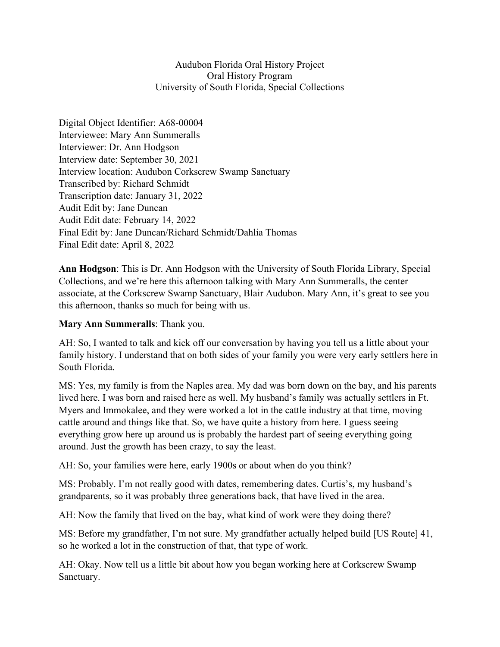## Audubon Florida Oral History Project Oral History Program University of South Florida, Special Collections

Digital Object Identifier: A68-00004 Interviewee: Mary Ann Summeralls Interviewer: Dr. Ann Hodgson Interview date: September 30, 2021 Interview location: Audubon Corkscrew Swamp Sanctuary Transcribed by: Richard Schmidt Transcription date: January 31, 2022 Audit Edit by: Jane Duncan Audit Edit date: February 14, 2022 Final Edit by: Jane Duncan/Richard Schmidt/Dahlia Thomas Final Edit date: April 8, 2022

**Ann Hodgson**: This is Dr. Ann Hodgson with the University of South Florida Library, Special Collections, and we're here this afternoon talking with Mary Ann Summeralls, the center associate, at the Corkscrew Swamp Sanctuary, Blair Audubon. Mary Ann, it's great to see you this afternoon, thanks so much for being with us.

## **Mary Ann Summeralls**: Thank you.

AH: So, I wanted to talk and kick off our conversation by having you tell us a little about your family history. I understand that on both sides of your family you were very early settlers here in South Florida.

MS: Yes, my family is from the Naples area. My dad was born down on the bay, and his parents lived here. I was born and raised here as well. My husband's family was actually settlers in Ft. Myers and Immokalee, and they were worked a lot in the cattle industry at that time, moving cattle around and things like that. So, we have quite a history from here. I guess seeing everything grow here up around us is probably the hardest part of seeing everything going around. Just the growth has been crazy, to say the least.

AH: So, your families were here, early 1900s or about when do you think?

MS: Probably. I'm not really good with dates, remembering dates. Curtis's, my husband's grandparents, so it was probably three generations back, that have lived in the area.

AH: Now the family that lived on the bay, what kind of work were they doing there?

MS: Before my grandfather, I'm not sure. My grandfather actually helped build [US Route] 41, so he worked a lot in the construction of that, that type of work.

AH: Okay. Now tell us a little bit about how you began working here at Corkscrew Swamp Sanctuary.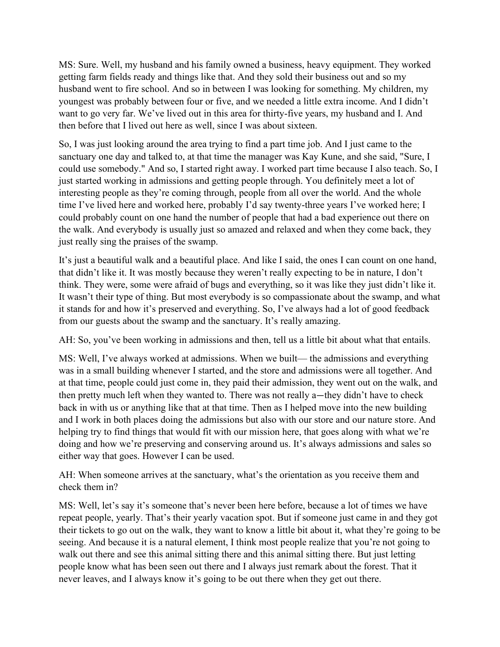MS: Sure. Well, my husband and his family owned a business, heavy equipment. They worked getting farm fields ready and things like that. And they sold their business out and so my husband went to fire school. And so in between I was looking for something. My children, my youngest was probably between four or five, and we needed a little extra income. And I didn't want to go very far. We've lived out in this area for thirty-five years, my husband and I. And then before that I lived out here as well, since I was about sixteen.

So, I was just looking around the area trying to find a part time job. And I just came to the sanctuary one day and talked to, at that time the manager was Kay Kune, and she said, "Sure, I could use somebody." And so, I started right away. I worked part time because I also teach. So, I just started working in admissions and getting people through. You definitely meet a lot of interesting people as they're coming through, people from all over the world. And the whole time I've lived here and worked here, probably I'd say twenty-three years I've worked here; I could probably count on one hand the number of people that had a bad experience out there on the walk. And everybody is usually just so amazed and relaxed and when they come back, they just really sing the praises of the swamp.

It's just a beautiful walk and a beautiful place. And like I said, the ones I can count on one hand, that didn't like it. It was mostly because they weren't really expecting to be in nature, I don't think. They were, some were afraid of bugs and everything, so it was like they just didn't like it. It wasn't their type of thing. But most everybody is so compassionate about the swamp, and what it stands for and how it's preserved and everything. So, I've always had a lot of good feedback from our guests about the swamp and the sanctuary. It's really amazing.

AH: So, you've been working in admissions and then, tell us a little bit about what that entails.

MS: Well, I've always worked at admissions. When we built— the admissions and everything was in a small building whenever I started, and the store and admissions were all together. And at that time, people could just come in, they paid their admission, they went out on the walk, and then pretty much left when they wanted to. There was not really a—they didn't have to check back in with us or anything like that at that time. Then as I helped move into the new building and I work in both places doing the admissions but also with our store and our nature store. And helping try to find things that would fit with our mission here, that goes along with what we're doing and how we're preserving and conserving around us. It's always admissions and sales so either way that goes. However I can be used.

AH: When someone arrives at the sanctuary, what's the orientation as you receive them and check them in?

MS: Well, let's say it's someone that's never been here before, because a lot of times we have repeat people, yearly. That's their yearly vacation spot. But if someone just came in and they got their tickets to go out on the walk, they want to know a little bit about it, what they're going to be seeing. And because it is a natural element, I think most people realize that you're not going to walk out there and see this animal sitting there and this animal sitting there. But just letting people know what has been seen out there and I always just remark about the forest. That it never leaves, and I always know it's going to be out there when they get out there.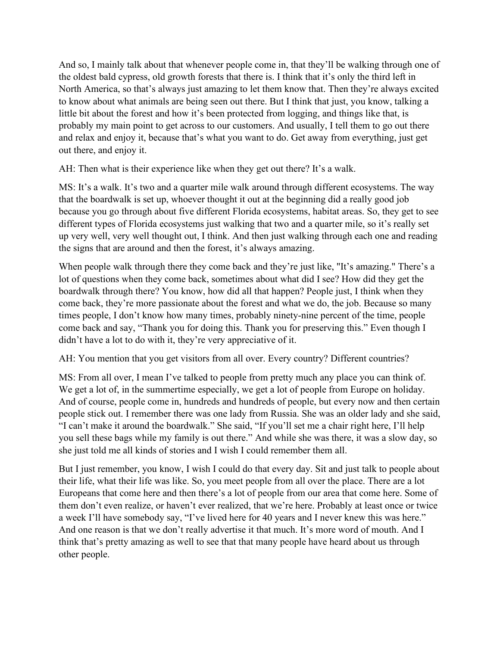And so, I mainly talk about that whenever people come in, that they'll be walking through one of the oldest bald cypress, old growth forests that there is. I think that it's only the third left in North America, so that's always just amazing to let them know that. Then they're always excited to know about what animals are being seen out there. But I think that just, you know, talking a little bit about the forest and how it's been protected from logging, and things like that, is probably my main point to get across to our customers. And usually, I tell them to go out there and relax and enjoy it, because that's what you want to do. Get away from everything, just get out there, and enjoy it.

AH: Then what is their experience like when they get out there? It's a walk.

MS: It's a walk. It's two and a quarter mile walk around through different ecosystems. The way that the boardwalk is set up, whoever thought it out at the beginning did a really good job because you go through about five different Florida ecosystems, habitat areas. So, they get to see different types of Florida ecosystems just walking that two and a quarter mile, so it's really set up very well, very well thought out, I think. And then just walking through each one and reading the signs that are around and then the forest, it's always amazing.

When people walk through there they come back and they're just like, "It's amazing." There's a lot of questions when they come back, sometimes about what did I see? How did they get the boardwalk through there? You know, how did all that happen? People just, I think when they come back, they're more passionate about the forest and what we do, the job. Because so many times people, I don't know how many times, probably ninety-nine percent of the time, people come back and say, "Thank you for doing this. Thank you for preserving this." Even though I didn't have a lot to do with it, they're very appreciative of it.

AH: You mention that you get visitors from all over. Every country? Different countries?

MS: From all over, I mean I've talked to people from pretty much any place you can think of. We get a lot of, in the summertime especially, we get a lot of people from Europe on holiday. And of course, people come in, hundreds and hundreds of people, but every now and then certain people stick out. I remember there was one lady from Russia. She was an older lady and she said, "I can't make it around the boardwalk." She said, "If you'll set me a chair right here, I'll help you sell these bags while my family is out there." And while she was there, it was a slow day, so she just told me all kinds of stories and I wish I could remember them all.

But I just remember, you know, I wish I could do that every day. Sit and just talk to people about their life, what their life was like. So, you meet people from all over the place. There are a lot Europeans that come here and then there's a lot of people from our area that come here. Some of them don't even realize, or haven't ever realized, that we're here. Probably at least once or twice a week I'll have somebody say, "I've lived here for 40 years and I never knew this was here." And one reason is that we don't really advertise it that much. It's more word of mouth. And I think that's pretty amazing as well to see that that many people have heard about us through other people.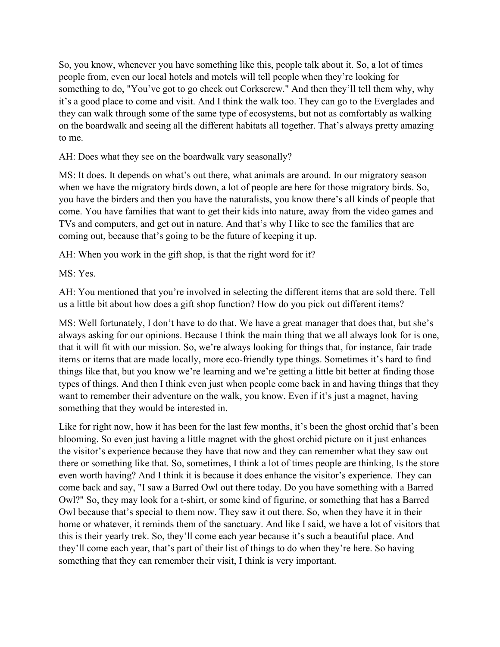So, you know, whenever you have something like this, people talk about it. So, a lot of times people from, even our local hotels and motels will tell people when they're looking for something to do, "You've got to go check out Corkscrew." And then they'll tell them why, why it's a good place to come and visit. And I think the walk too. They can go to the Everglades and they can walk through some of the same type of ecosystems, but not as comfortably as walking on the boardwalk and seeing all the different habitats all together. That's always pretty amazing to me.

AH: Does what they see on the boardwalk vary seasonally?

MS: It does. It depends on what's out there, what animals are around. In our migratory season when we have the migratory birds down, a lot of people are here for those migratory birds. So, you have the birders and then you have the naturalists, you know there's all kinds of people that come. You have families that want to get their kids into nature, away from the video games and TVs and computers, and get out in nature. And that's why I like to see the families that are coming out, because that's going to be the future of keeping it up.

AH: When you work in the gift shop, is that the right word for it?

MS: Yes.

AH: You mentioned that you're involved in selecting the different items that are sold there. Tell us a little bit about how does a gift shop function? How do you pick out different items?

MS: Well fortunately, I don't have to do that. We have a great manager that does that, but she's always asking for our opinions. Because I think the main thing that we all always look for is one, that it will fit with our mission. So, we're always looking for things that, for instance, fair trade items or items that are made locally, more eco-friendly type things. Sometimes it's hard to find things like that, but you know we're learning and we're getting a little bit better at finding those types of things. And then I think even just when people come back in and having things that they want to remember their adventure on the walk, you know. Even if it's just a magnet, having something that they would be interested in.

Like for right now, how it has been for the last few months, it's been the ghost orchid that's been blooming. So even just having a little magnet with the ghost orchid picture on it just enhances the visitor's experience because they have that now and they can remember what they saw out there or something like that. So, sometimes, I think a lot of times people are thinking, Is the store even worth having? And I think it is because it does enhance the visitor's experience. They can come back and say, "I saw a Barred Owl out there today. Do you have something with a Barred Owl?" So, they may look for a t-shirt, or some kind of figurine, or something that has a Barred Owl because that's special to them now. They saw it out there. So, when they have it in their home or whatever, it reminds them of the sanctuary. And like I said, we have a lot of visitors that this is their yearly trek. So, they'll come each year because it's such a beautiful place. And they'll come each year, that's part of their list of things to do when they're here. So having something that they can remember their visit, I think is very important.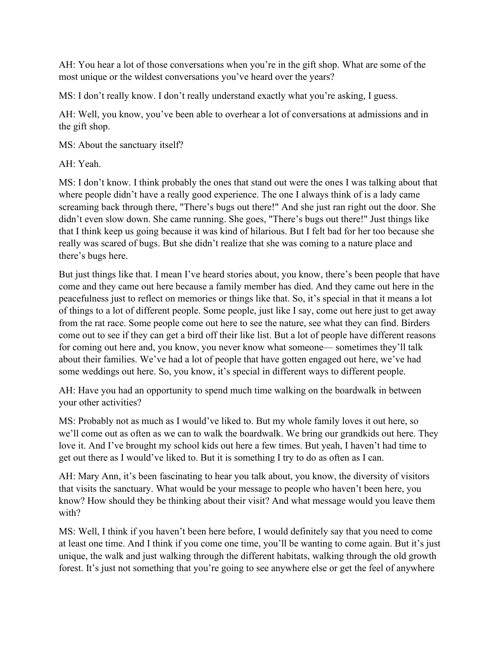AH: You hear a lot of those conversations when you're in the gift shop. What are some of the most unique or the wildest conversations you've heard over the years?

MS: I don't really know. I don't really understand exactly what you're asking, I guess.

AH: Well, you know, you've been able to overhear a lot of conversations at admissions and in the gift shop.

MS: About the sanctuary itself?

AH: Yeah.

MS: I don't know. I think probably the ones that stand out were the ones I was talking about that where people didn't have a really good experience. The one I always think of is a lady came screaming back through there, "There's bugs out there!" And she just ran right out the door. She didn't even slow down. She came running. She goes, "There's bugs out there!" Just things like that I think keep us going because it was kind of hilarious. But I felt bad for her too because she really was scared of bugs. But she didn't realize that she was coming to a nature place and there's bugs here.

But just things like that. I mean I've heard stories about, you know, there's been people that have come and they came out here because a family member has died. And they came out here in the peacefulness just to reflect on memories or things like that. So, it's special in that it means a lot of things to a lot of different people. Some people, just like I say, come out here just to get away from the rat race. Some people come out here to see the nature, see what they can find. Birders come out to see if they can get a bird off their like list. But a lot of people have different reasons for coming out here and, you know, you never know what someone— sometimes they'll talk about their families. We've had a lot of people that have gotten engaged out here, we've had some weddings out here. So, you know, it's special in different ways to different people.

AH: Have you had an opportunity to spend much time walking on the boardwalk in between your other activities?

MS: Probably not as much as I would've liked to. But my whole family loves it out here, so we'll come out as often as we can to walk the boardwalk. We bring our grandkids out here. They love it. And I've brought my school kids out here a few times. But yeah, I haven't had time to get out there as I would've liked to. But it is something I try to do as often as I can.

AH: Mary Ann, it's been fascinating to hear you talk about, you know, the diversity of visitors that visits the sanctuary. What would be your message to people who haven't been here, you know? How should they be thinking about their visit? And what message would you leave them with?

MS: Well, I think if you haven't been here before, I would definitely say that you need to come at least one time. And I think if you come one time, you'll be wanting to come again. But it's just unique, the walk and just walking through the different habitats, walking through the old growth forest. It's just not something that you're going to see anywhere else or get the feel of anywhere